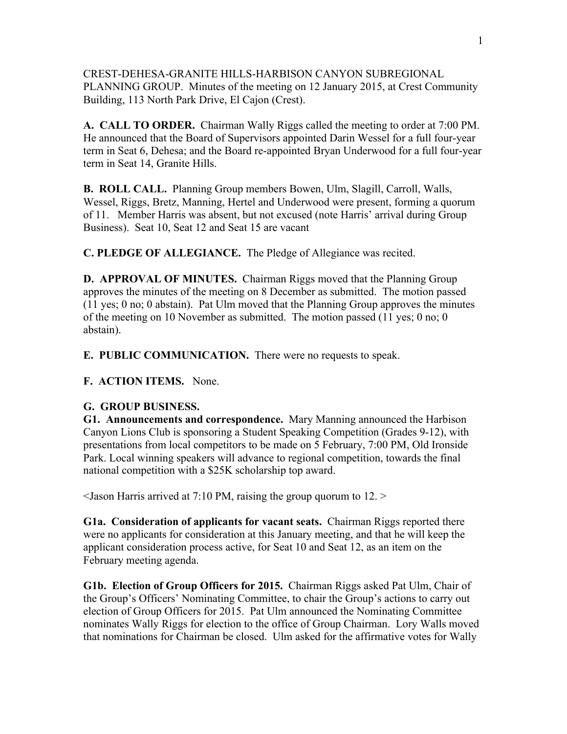CREST-DEHESA-GRANITE HILLS-HARBISON CANYON SUBREGIONAL PLANNING GROUP. Minutes of the meeting on 12 January 2015, at Crest Community Building, 113 North Park Drive, El Cajon (Crest).

**A. CALL TO ORDER.** Chairman Wally Riggs called the meeting to order at 7:00 PM. He announced that the Board of Supervisors appointed Darin Wessel for a full four-year term in Seat 6, Dehesa; and the Board re-appointed Bryan Underwood for a full four-year term in Seat 14, Granite Hills.

**B. ROLL CALL.** Planning Group members Bowen, Ulm, Slagill, Carroll, Walls, Wessel, Riggs, Bretz, Manning, Hertel and Underwood were present, forming a quorum of 11. Member Harris was absent, but not excused (note Harris' arrival during Group Business). Seat 10, Seat 12 and Seat 15 are vacant

**C. PLEDGE OF ALLEGIANCE.** The Pledge of Allegiance was recited.

**D. APPROVAL OF MINUTES.** Chairman Riggs moved that the Planning Group approves the minutes of the meeting on 8 December as submitted. The motion passed (11 yes; 0 no; 0 abstain). Pat Ulm moved that the Planning Group approves the minutes of the meeting on 10 November as submitted. The motion passed (11 yes; 0 no; 0 abstain).

**E. PUBLIC COMMUNICATION.** There were no requests to speak.

**F. ACTION ITEMS.** None.

## **G. GROUP BUSINESS.**

**G1. Announcements and correspondence.** Mary Manning announced the Harbison Canyon Lions Club is sponsoring a Student Speaking Competition (Grades 9-12), with presentations from local competitors to be made on 5 February, 7:00 PM, Old Ironside Park. Local winning speakers will advance to regional competition, towards the final national competition with a \$25K scholarship top award.

 $\leq$ Jason Harris arrived at 7:10 PM, raising the group quorum to 12.  $\geq$ 

**G1a. Consideration of applicants for vacant seats.** Chairman Riggs reported there were no applicants for consideration at this January meeting, and that he will keep the applicant consideration process active, for Seat 10 and Seat 12, as an item on the February meeting agenda.

**G1b. Election of Group Officers for 2015.** Chairman Riggs asked Pat Ulm, Chair of the Group's Officers' Nominating Committee, to chair the Group's actions to carry out election of Group Officers for 2015. Pat Ulm announced the Nominating Committee nominates Wally Riggs for election to the office of Group Chairman. Lory Walls moved that nominations for Chairman be closed. Ulm asked for the affirmative votes for Wally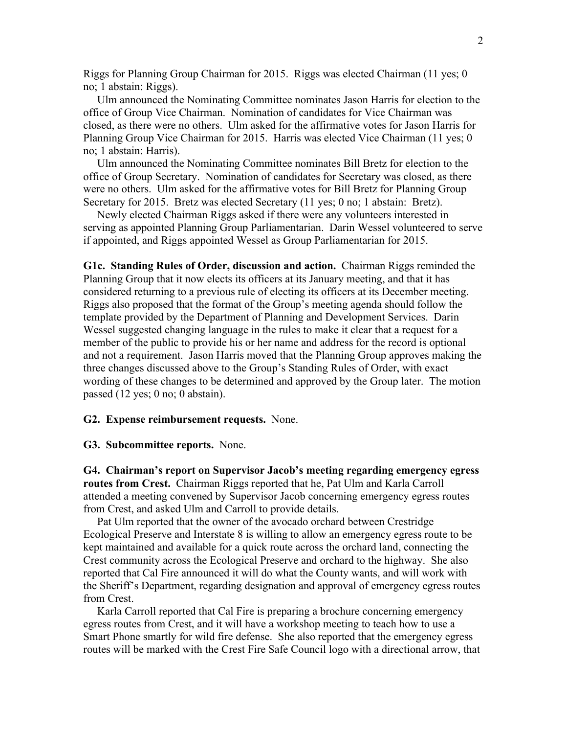Riggs for Planning Group Chairman for 2015. Riggs was elected Chairman (11 yes; 0 no; 1 abstain: Riggs).

 Ulm announced the Nominating Committee nominates Jason Harris for election to the office of Group Vice Chairman. Nomination of candidates for Vice Chairman was closed, as there were no others. Ulm asked for the affirmative votes for Jason Harris for Planning Group Vice Chairman for 2015. Harris was elected Vice Chairman (11 yes; 0 no; 1 abstain: Harris).

 Ulm announced the Nominating Committee nominates Bill Bretz for election to the office of Group Secretary. Nomination of candidates for Secretary was closed, as there were no others. Ulm asked for the affirmative votes for Bill Bretz for Planning Group Secretary for 2015. Bretz was elected Secretary (11 yes; 0 no; 1 abstain: Bretz).

 Newly elected Chairman Riggs asked if there were any volunteers interested in serving as appointed Planning Group Parliamentarian. Darin Wessel volunteered to serve if appointed, and Riggs appointed Wessel as Group Parliamentarian for 2015.

**G1c. Standing Rules of Order, discussion and action.** Chairman Riggs reminded the Planning Group that it now elects its officers at its January meeting, and that it has considered returning to a previous rule of electing its officers at its December meeting. Riggs also proposed that the format of the Group's meeting agenda should follow the template provided by the Department of Planning and Development Services. Darin Wessel suggested changing language in the rules to make it clear that a request for a member of the public to provide his or her name and address for the record is optional and not a requirement. Jason Harris moved that the Planning Group approves making the three changes discussed above to the Group's Standing Rules of Order, with exact wording of these changes to be determined and approved by the Group later. The motion passed (12 yes; 0 no; 0 abstain).

## **G2. Expense reimbursement requests.** None.

## **G3. Subcommittee reports.** None.

**G4. Chairman's report on Supervisor Jacob's meeting regarding emergency egress routes from Crest.** Chairman Riggs reported that he, Pat Ulm and Karla Carroll attended a meeting convened by Supervisor Jacob concerning emergency egress routes from Crest, and asked Ulm and Carroll to provide details.

 Pat Ulm reported that the owner of the avocado orchard between Crestridge Ecological Preserve and Interstate 8 is willing to allow an emergency egress route to be kept maintained and available for a quick route across the orchard land, connecting the Crest community across the Ecological Preserve and orchard to the highway. She also reported that Cal Fire announced it will do what the County wants, and will work with the Sheriff's Department, regarding designation and approval of emergency egress routes from Crest.

 Karla Carroll reported that Cal Fire is preparing a brochure concerning emergency egress routes from Crest, and it will have a workshop meeting to teach how to use a Smart Phone smartly for wild fire defense. She also reported that the emergency egress routes will be marked with the Crest Fire Safe Council logo with a directional arrow, that